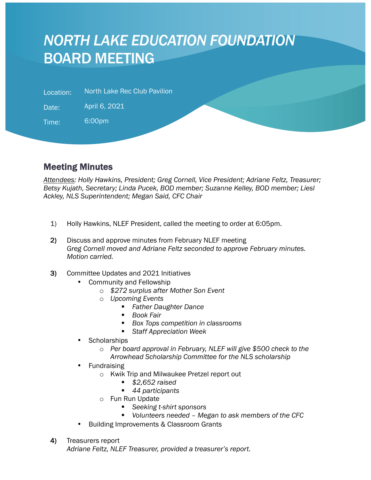## *NORTH LAKE EDUCATION FOUNDATION* BOARD MEETING

Location: North Lake Rec Club Pavilion

Date: April 6, 2021

Time: 6:00pm

l

## Meeting Minutes

*Attendees: Holly Hawkins, President; Greg Cornell, Vice President; Adriane Feltz, Treasurer; Betsy Kujath, Secretary; Linda Pucek, BOD member; Suzanne Kelley, BOD member; Liesl Ackley, NLS Superintendent; Megan Said, CFC Chair*

- 1) Holly Hawkins, NLEF President, called the meeting to order at 6:05pm.
- 2) Discuss and approve minutes from February NLEF meeting *Greg Cornell moved and Adriane Feltz seconded to approve February minutes. Motion carried.*
- 3) Committee Updates and 2021 Initiatives
	- Community and Fellowship
		- o *\$272 surplus after Mother Son Event*
		- o *Upcoming Events*
			- § *Father Daughter Dance*
				- § *Book Fair*
			- § *Box Tops competition in classrooms*
			- Staff Appreciation Week
	- **Scholarships** 
		- o *Per board approval in February, NLEF will give \$500 check to the Arrowhead Scholarship Committee for the NLS scholarship*
	- **Fundraising** 
		- o Kwik Trip and Milwaukee Pretzel report out
			- § *\$2,652 raised*
			- 44 participants
		- o Fun Run Update
			- Seeking *t*-shirt sponsors
			- § *Volunteers needed – Megan to ask members of the CFC*
	- Building Improvements & Classroom Grants
- 4) Treasurers report

*Adriane Feltz, NLEF Treasurer, provided a treasurer's report.*